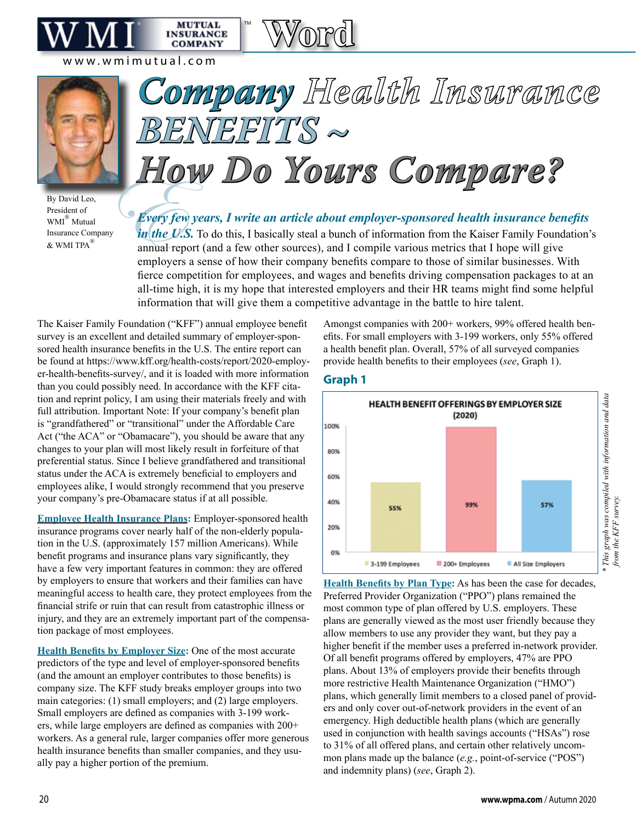more restrictive Health Maintenance Organization ("HMO") plans, which generally limit members to a closed panel of providers and only cover out-of-network providers in the event of an

emergency. High deductible health plans (which are generally used in conjunction with health savings accounts ("HSAs") rose to 31% of all offered plans, and certain other relatively uncommon plans made up the balance (*e.g.*, point-of-service ("POS") and indemnity plans) (*see*, Graph 2).



By David Leo, President of WMI® Mutual Insurance Company  $&$  WMI TPA $^{\circledR}$ 

## *Company Health Insurance BENEFITS ~ How Do Yours Compare?*

™

**MUTUAL INSURANCE COMPANY** 

**Word**

Every fevery fevery fevery fevery fever of the U. *Every few years, I write an article about employer-sponsored health insurance benefits in the U.S.* To do this, I basically steal a bunch of information from the Kaiser Family Foundation's annual report (and a few other sources), and I compile various metrics that I hope will give employers a sense of how their company benefits compare to those of similar businesses. With fierce competition for employees, and wages and benefits driving compensation packages to at an all-time high, it is my hope that interested employers and their HR teams might find some helpful information that will give them a competitive advantage in the battle to hire talent.

The Kaiser Family Foundation ("KFF") annual employee benefit survey is an excellent and detailed summary of employer-sponsored health insurance benefits in the U.S. The entire report can be found at https://www.kff.org/health-costs/report/2020-employer-health-benefits-survey/, and it is loaded with more information than you could possibly need. In accordance with the KFF citation and reprint policy, I am using their materials freely and with full attribution. Important Note: If your company's benefit plan is "grandfathered" or "transitional" under the Affordable Care Act ("the ACA" or "Obamacare"), you should be aware that any changes to your plan will most likely result in forfeiture of that preferential status. Since I believe grandfathered and transitional status under the ACA is extremely beneficial to employers and employees alike, I would strongly recommend that you preserve your company's pre-Obamacare status if at all possible.

**Employee Health Insurance Plans:** Employer-sponsored health insurance programs cover nearly half of the non-elderly population in the U.S. (approximately 157 million Americans). While benefit programs and insurance plans vary significantly, they have a few very important features in common: they are offered by employers to ensure that workers and their families can have meaningful access to health care, they protect employees from the financial strife or ruin that can result from catastrophic illness or injury, and they are an extremely important part of the compensation package of most employees.

**Health Benefits by Employer Size:** One of the most accurate predictors of the type and level of employer-sponsored benefits (and the amount an employer contributes to those benefits) is company size. The KFF study breaks employer groups into two main categories: (1) small employers; and (2) large employers. Small employers are defined as companies with 3-199 workers, while large employers are defined as companies with 200+ workers. As a general rule, larger companies offer more generous health insurance benefits than smaller companies, and they usually pay a higher portion of the premium.

efits. For small employers with 3-199 workers, only 55% offered a health benefit plan. Overall, 57% of all surveyed companies provide health benefits to their employees (*see*, Graph 1).

Amongst companies with 200+ workers, 99% offered health ben-

### **Graph 1**



Preferred Provider Organization ("PPO") plans remained the most common type of plan offered by U.S. employers. These plans are generally viewed as the most user friendly because they allow members to use any provider they want, but they pay a higher benefit if the member uses a preferred in-network provider. Of all benefit programs offered by employers, 47% are PPO plans. About 13% of employers provide their benefits through